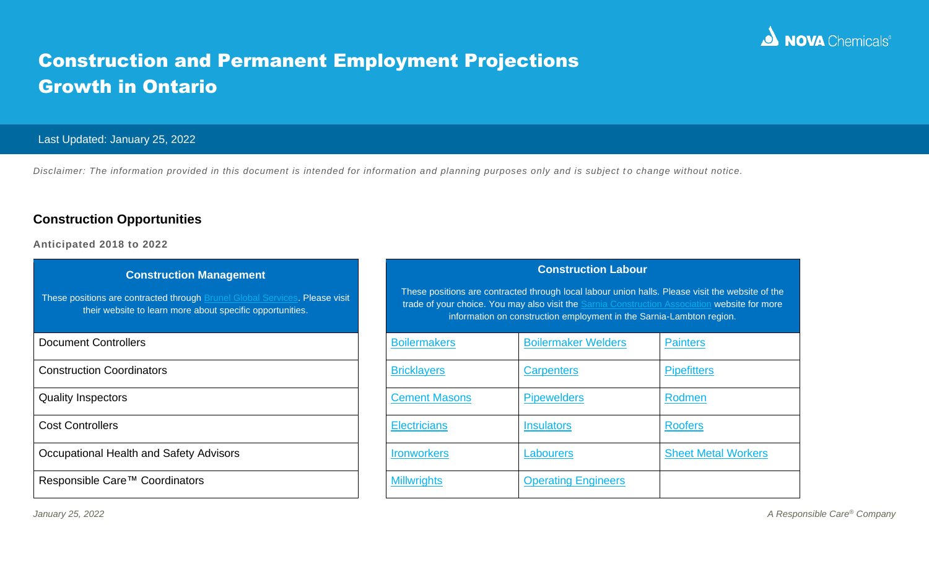

# Construction and Permanent Employment Projections Growth in Ontario

#### Last Updated: January 25, 2022

*Disclaimer: The information provided in this document is intended for information and planning purposes only and is subject to change without notice.* 

### **Construction Opportunities**

**Anticipated 2018 to 2022**

| <b>Construction Management</b><br>These positions are contracted through Brunel Global Services. Please visit<br>their website to learn more about specific opportunities. |                     |                      | <b>Construction Lal</b><br>These positions are contracted through local labour uni<br>trade of your choice. You may also visit the Sarnia Cor<br>information on construction employment in |  |
|----------------------------------------------------------------------------------------------------------------------------------------------------------------------------|---------------------|----------------------|--------------------------------------------------------------------------------------------------------------------------------------------------------------------------------------------|--|
| <b>Document Controllers</b>                                                                                                                                                |                     | <b>Boilermakers</b>  | <b>Boilermaker Welders</b>                                                                                                                                                                 |  |
| <b>Construction Coordinators</b>                                                                                                                                           | <b>Bricklayers</b>  |                      | <b>Carpenters</b>                                                                                                                                                                          |  |
| <b>Quality Inspectors</b>                                                                                                                                                  |                     | <b>Cement Masons</b> | <b>Pipewelders</b>                                                                                                                                                                         |  |
| <b>Cost Controllers</b>                                                                                                                                                    | <b>Electricians</b> |                      | <b>Insulators</b>                                                                                                                                                                          |  |
| Occupational Health and Safety Advisors                                                                                                                                    | <b>Ironworkers</b>  |                      | Labourers                                                                                                                                                                                  |  |
| Responsible Care™ Coordinators                                                                                                                                             | <b>Millwrights</b>  |                      | <b>Operating Engineers</b>                                                                                                                                                                 |  |
|                                                                                                                                                                            |                     |                      |                                                                                                                                                                                            |  |

#### **Construction Labour**

These positions are contracted through local labour union halls. Please visit the website of the trade of your choice. You may also visit the **Sarnia Construction Association** website for more information on construction employment in the Sarnia-Lambton region.

| <b>Document Controllers</b>             | <b>Boilermakers</b>  | <b>Boilermaker Welders</b> | <b>Painters</b>            |
|-----------------------------------------|----------------------|----------------------------|----------------------------|
| <b>Construction Coordinators</b>        | <b>Bricklayers</b>   | <b>Carpenters</b>          | <b>Pipefitters</b>         |
| <b>Quality Inspectors</b>               | <b>Cement Masons</b> | <b>Pipewelders</b>         | Rodmen                     |
| <b>Cost Controllers</b>                 | <b>Electricians</b>  | <b>Insulators</b>          | <b>Roofers</b>             |
| Occupational Health and Safety Advisors | <b>Ironworkers</b>   | Labourers                  | <b>Sheet Metal Workers</b> |
| Responsible Care™ Coordinators          | <b>Millwrights</b>   | <b>Operating Engineers</b> |                            |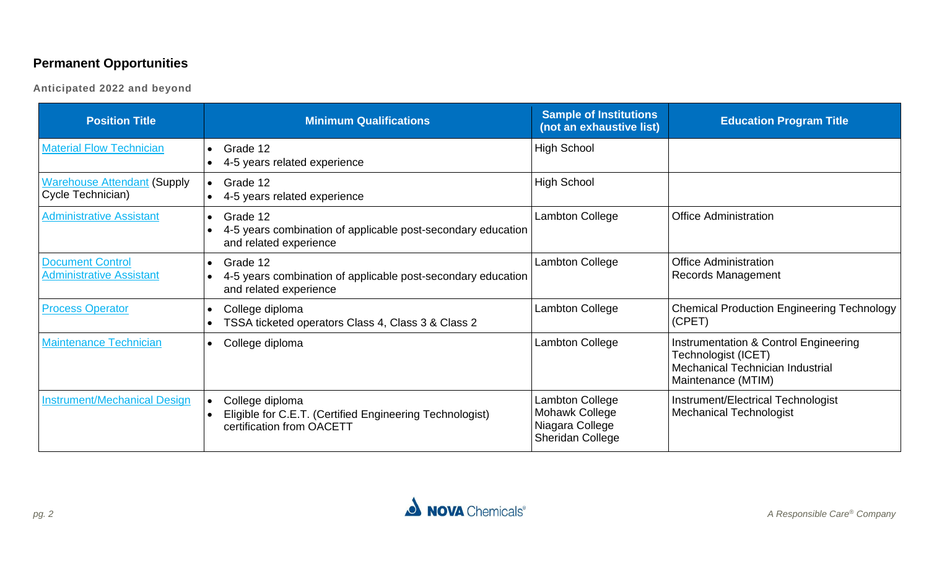# **Permanent Opportunities**

**Anticipated 2022 and beyond**

| <b>Position Title</b>                                      | <b>Minimum Qualifications</b>                                                                                   | <b>Sample of Institutions</b><br>(not an exhaustive list)                              | <b>Education Program Title</b>                                                                                         |
|------------------------------------------------------------|-----------------------------------------------------------------------------------------------------------------|----------------------------------------------------------------------------------------|------------------------------------------------------------------------------------------------------------------------|
| <b>Material Flow Technician</b>                            | $\bullet$ Grade 12<br>4-5 years related experience                                                              | <b>High School</b>                                                                     |                                                                                                                        |
| <b>Warehouse Attendant (Supply</b><br>Cycle Technician)    | $\bullet$ Grade 12<br>4-5 years related experience                                                              | <b>High School</b>                                                                     |                                                                                                                        |
| <b>Administrative Assistant</b>                            | Grade 12<br>$\bullet$<br>4-5 years combination of applicable post-secondary education<br>and related experience | Lambton College                                                                        | <b>Office Administration</b>                                                                                           |
| <b>Document Control</b><br><b>Administrative Assistant</b> | Grade 12<br>$\bullet$<br>4-5 years combination of applicable post-secondary education<br>and related experience | Lambton College                                                                        | <b>Office Administration</b><br>Records Management                                                                     |
| <b>Process Operator</b>                                    | College diploma<br>TSSA ticketed operators Class 4, Class 3 & Class 2                                           | Lambton College                                                                        | <b>Chemical Production Engineering Technology</b><br>(CPET)                                                            |
| <b>Maintenance Technician</b>                              | College diploma<br>$\bullet$                                                                                    | Lambton College                                                                        | Instrumentation & Control Engineering<br>Technologist (ICET)<br>Mechanical Technician Industrial<br>Maintenance (MTIM) |
| <b>Instrument/Mechanical Design</b>                        | College diploma<br>Eligible for C.E.T. (Certified Engineering Technologist)<br>certification from OACETT        | Lambton College<br><b>Mohawk College</b><br>Niagara College<br><b>Sheridan College</b> | Instrument/Electrical Technologist<br><b>Mechanical Technologist</b>                                                   |

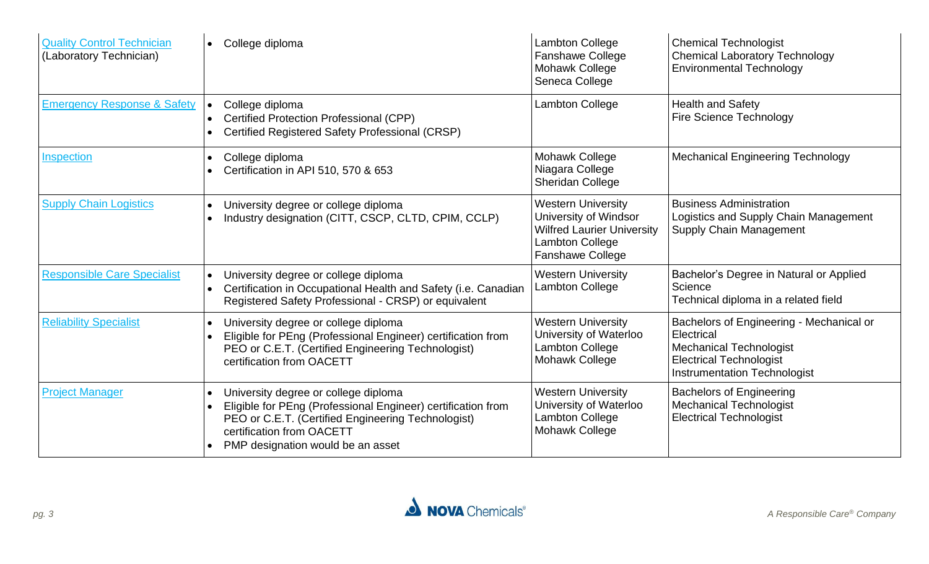| <b>Quality Control Technician</b><br>(Laboratory Technician) | College diploma                                                                                                                                                                                                              | Lambton College<br><b>Fanshawe College</b><br>Mohawk College<br>Seneca College                                                        | <b>Chemical Technologist</b><br><b>Chemical Laboratory Technology</b><br><b>Environmental Technology</b>                                                          |
|--------------------------------------------------------------|------------------------------------------------------------------------------------------------------------------------------------------------------------------------------------------------------------------------------|---------------------------------------------------------------------------------------------------------------------------------------|-------------------------------------------------------------------------------------------------------------------------------------------------------------------|
| <b>Emergency Response &amp; Safety</b>                       | College diploma<br>Certified Protection Professional (CPP)<br>Certified Registered Safety Professional (CRSP)                                                                                                                | Lambton College                                                                                                                       | <b>Health and Safety</b><br><b>Fire Science Technology</b>                                                                                                        |
| Inspection                                                   | College diploma<br>Certification in API 510, 570 & 653                                                                                                                                                                       | Mohawk College<br>Niagara College<br><b>Sheridan College</b>                                                                          | <b>Mechanical Engineering Technology</b>                                                                                                                          |
| <b>Supply Chain Logistics</b>                                | University degree or college diploma<br>Industry designation (CITT, CSCP, CLTD, CPIM, CCLP)                                                                                                                                  | <b>Western University</b><br>University of Windsor<br><b>Wilfred Laurier University</b><br>Lambton College<br><b>Fanshawe College</b> | <b>Business Administration</b><br>Logistics and Supply Chain Management<br><b>Supply Chain Management</b>                                                         |
| <b>Responsible Care Specialist</b>                           | University degree or college diploma<br>Certification in Occupational Health and Safety (i.e. Canadian<br>Registered Safety Professional - CRSP) or equivalent                                                               | <b>Western University</b><br><b>Lambton College</b>                                                                                   | Bachelor's Degree in Natural or Applied<br>Science<br>Technical diploma in a related field                                                                        |
| <b>Reliability Specialist</b>                                | University degree or college diploma<br>Eligible for PEng (Professional Engineer) certification from<br>PEO or C.E.T. (Certified Engineering Technologist)<br>certification from OACETT                                      | <b>Western University</b><br>University of Waterloo<br>Lambton College<br><b>Mohawk College</b>                                       | Bachelors of Engineering - Mechanical or<br>Electrical<br><b>Mechanical Technologist</b><br><b>Electrical Technologist</b><br><b>Instrumentation Technologist</b> |
| <b>Project Manager</b>                                       | University degree or college diploma<br>Eligible for PEng (Professional Engineer) certification from<br>PEO or C.E.T. (Certified Engineering Technologist)<br>certification from OACETT<br>PMP designation would be an asset | <b>Western University</b><br>University of Waterloo<br>Lambton College<br>Mohawk College                                              | <b>Bachelors of Engineering</b><br><b>Mechanical Technologist</b><br><b>Electrical Technologist</b>                                                               |

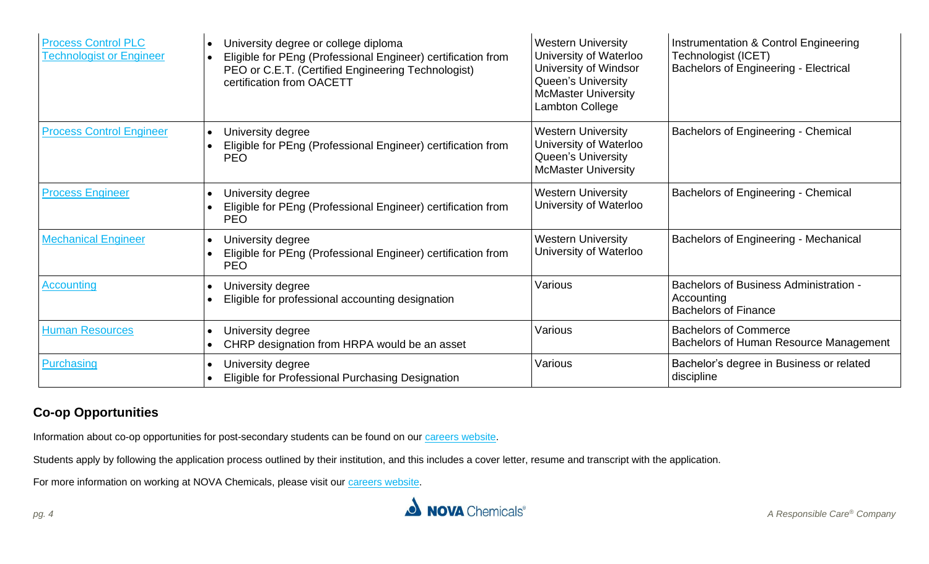| <b>Process Control PLC</b><br><b>Technologist or Engineer</b> | University degree or college diploma<br>Eligible for PEng (Professional Engineer) certification from<br>PEO or C.E.T. (Certified Engineering Technologist)<br>certification from OACETT | <b>Western University</b><br>University of Waterloo<br>University of Windsor<br><b>Queen's University</b><br><b>McMaster University</b><br>Lambton College | Instrumentation & Control Engineering<br>Technologist (ICET)<br><b>Bachelors of Engineering - Electrical</b> |
|---------------------------------------------------------------|-----------------------------------------------------------------------------------------------------------------------------------------------------------------------------------------|------------------------------------------------------------------------------------------------------------------------------------------------------------|--------------------------------------------------------------------------------------------------------------|
| <b>Process Control Engineer</b>                               | University degree<br>$\bullet$<br>Eligible for PEng (Professional Engineer) certification from<br><b>PEO</b>                                                                            | <b>Western University</b><br>University of Waterloo<br>Queen's University<br><b>McMaster University</b>                                                    | Bachelors of Engineering - Chemical                                                                          |
| <b>Process Engineer</b>                                       | University degree<br>$\bullet$<br>Eligible for PEng (Professional Engineer) certification from<br><b>PEO</b>                                                                            | <b>Western University</b><br>University of Waterloo                                                                                                        | Bachelors of Engineering - Chemical                                                                          |
| <b>Mechanical Engineer</b>                                    | University degree<br>$\bullet$<br>Eligible for PEng (Professional Engineer) certification from<br><b>PEO</b>                                                                            | <b>Western University</b><br>University of Waterloo                                                                                                        | <b>Bachelors of Engineering - Mechanical</b>                                                                 |
| <b>Accounting</b>                                             | University degree<br>Eligible for professional accounting designation                                                                                                                   | Various                                                                                                                                                    | <b>Bachelors of Business Administration -</b><br>Accounting<br><b>Bachelors of Finance</b>                   |
| <b>Human Resources</b>                                        | University degree<br>CHRP designation from HRPA would be an asset                                                                                                                       | Various                                                                                                                                                    | <b>Bachelors of Commerce</b><br>Bachelors of Human Resource Management                                       |
| Purchasing                                                    | University degree<br>Eligible for Professional Purchasing Designation                                                                                                                   | Various                                                                                                                                                    | Bachelor's degree in Business or related<br>discipline                                                       |

# **Co-op Opportunities**

Information about co-op opportunities for post-secondary students can be found on our [careers website.](http://www.novachem.com/careers/Pages/students/opportunities.aspx)

Students apply by following the application process outlined by their institution, and this includes a cover letter, resume and transcript with the application.

For more information on working at NOVA Chemicals, please visit our [careers website.](http://www.novachem.com/careers/Pages/r-home.aspx)

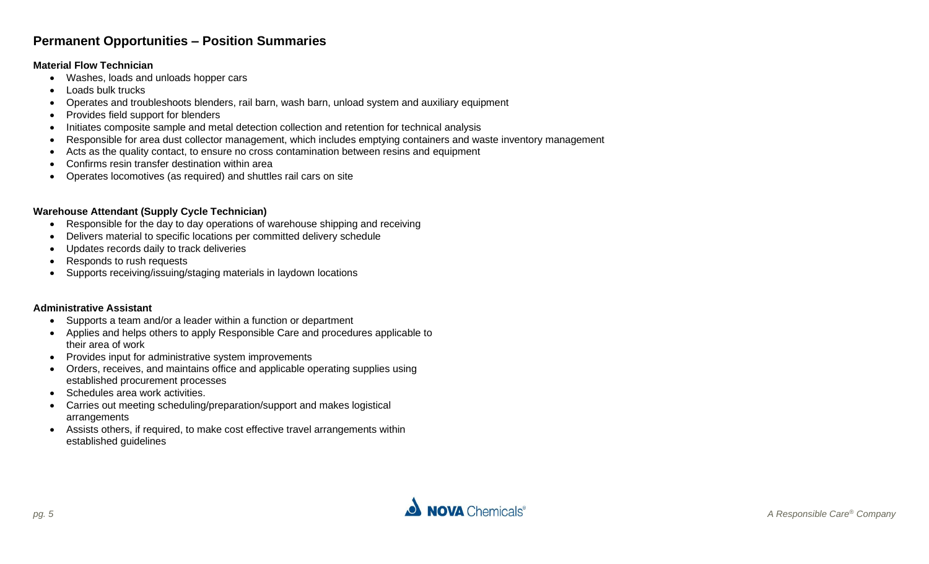## **Permanent Opportunities – Position Summaries**

#### <span id="page-4-0"></span>**Material Flow Technician**

- Washes, loads and unloads hopper cars
- Loads bulk trucks
- Operates and troubleshoots blenders, rail barn, wash barn, unload system and auxiliary equipment
- Provides field support for blenders
- Initiates composite sample and metal detection collection and retention for technical analysis
- Responsible for area dust collector management, which includes emptying containers and waste inventory management
- Acts as the quality contact, to ensure no cross contamination between resins and equipment
- Confirms resin transfer destination within area
- Operates locomotives (as required) and shuttles rail cars on site

#### <span id="page-4-1"></span>**Warehouse Attendant (Supply Cycle Technician)**

- Responsible for the day to day operations of warehouse shipping and receiving
- Delivers material to specific locations per committed delivery schedule
- Updates records daily to track deliveries
- Responds to rush requests
- Supports receiving/issuing/staging materials in laydown locations

#### <span id="page-4-2"></span>**Administrative Assistant**

- Supports a team and/or a leader within a function or department
- Applies and helps others to apply Responsible Care and procedures applicable to their area of work
- Provides input for administrative system improvements
- Orders, receives, and maintains office and applicable operating supplies using established procurement processes
- Schedules area work activities.
- Carries out meeting scheduling/preparation/support and makes logistical arrangements
- Assists others, if required, to make cost effective travel arrangements within established guidelines

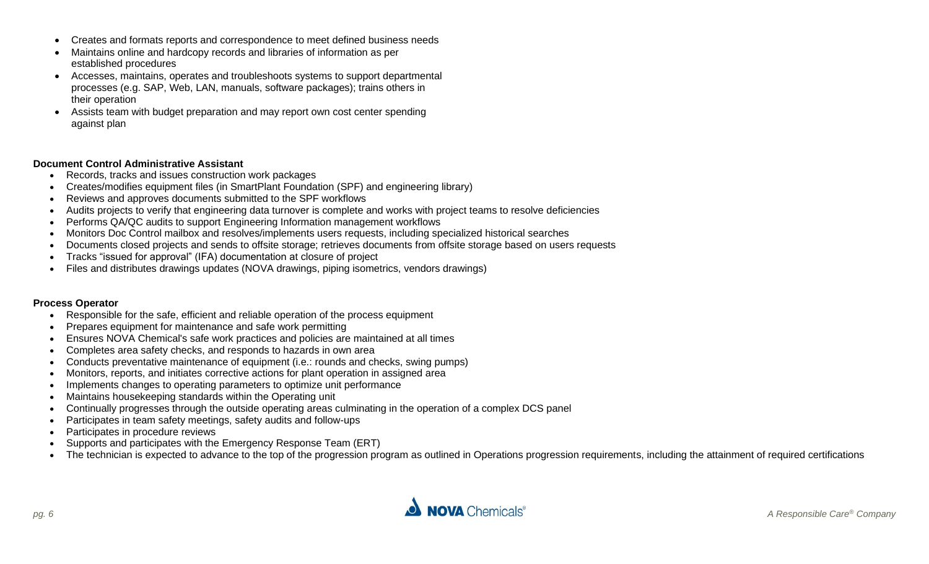- Creates and formats reports and correspondence to meet defined business needs
- Maintains online and hardcopy records and libraries of information as per established procedures
- Accesses, maintains, operates and troubleshoots systems to support departmental processes (e.g. SAP, Web, LAN, manuals, software packages); trains others in their operation
- Assists team with budget preparation and may report own cost center spending against plan

#### <span id="page-5-0"></span>**Document Control Administrative Assistant**

- Records, tracks and issues construction work packages
- Creates/modifies equipment files (in SmartPlant Foundation (SPF) and engineering library)
- Reviews and approves documents submitted to the SPF workflows
- Audits projects to verify that engineering data turnover is complete and works with project teams to resolve deficiencies
- Performs QA/QC audits to support Engineering Information management workflows
- Monitors Doc Control mailbox and resolves/implements users requests, including specialized historical searches
- Documents closed projects and sends to offsite storage; retrieves documents from offsite storage based on users requests
- Tracks "issued for approval" (IFA) documentation at closure of project
- Files and distributes drawings updates (NOVA drawings, piping isometrics, vendors drawings)

#### <span id="page-5-1"></span>**Process Operator**

- Responsible for the safe, efficient and reliable operation of the process equipment
- Prepares equipment for maintenance and safe work permitting
- Ensures NOVA Chemical's safe work practices and policies are maintained at all times
- Completes area safety checks, and responds to hazards in own area
- Conducts preventative maintenance of equipment (i.e.: rounds and checks, swing pumps)
- Monitors, reports, and initiates corrective actions for plant operation in assigned area
- Implements changes to operating parameters to optimize unit performance
- Maintains housekeeping standards within the Operating unit
- Continually progresses through the outside operating areas culminating in the operation of a complex DCS panel
- Participates in team safety meetings, safety audits and follow-ups
- Participates in procedure reviews
- Supports and participates with the Emergency Response Team (ERT)
- The technician is expected to advance to the top of the progression program as outlined in Operations progression requirements, including the attainment of required certifications

<span id="page-5-2"></span>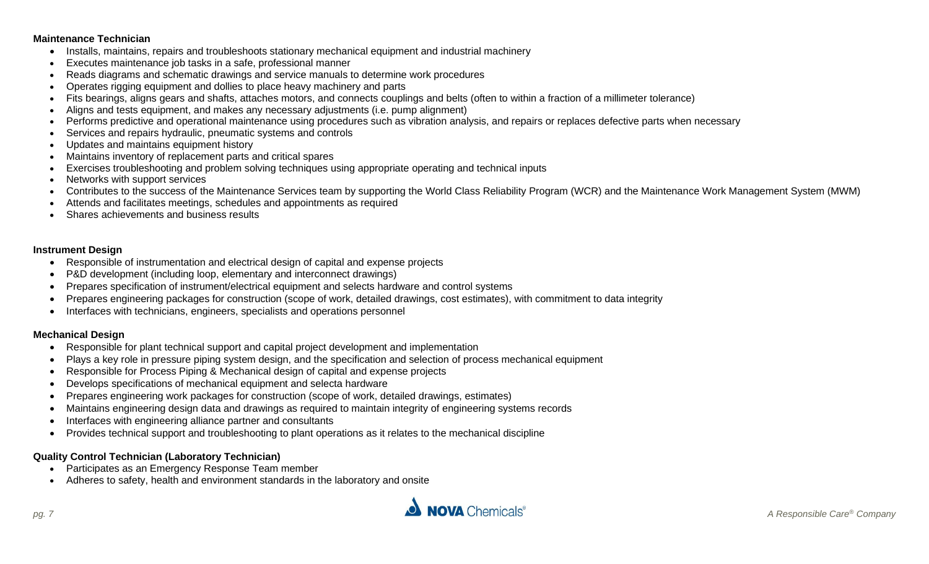#### **Maintenance Technician**

- Installs, maintains, repairs and troubleshoots stationary mechanical equipment and industrial machinery
- Executes maintenance job tasks in a safe, professional manner
- Reads diagrams and schematic drawings and service manuals to determine work procedures
- Operates rigging equipment and dollies to place heavy machinery and parts
- Fits bearings, aligns gears and shafts, attaches motors, and connects couplings and belts (often to within a fraction of a millimeter tolerance)
- Aligns and tests equipment, and makes any necessary adjustments (i.e. pump alignment)
- Performs predictive and operational maintenance using procedures such as vibration analysis, and repairs or replaces defective parts when necessary
- Services and repairs hydraulic, pneumatic systems and controls
- Updates and maintains equipment history
- Maintains inventory of replacement parts and critical spares
- Exercises troubleshooting and problem solving techniques using appropriate operating and technical inputs
- Networks with support services
- Contributes to the success of the Maintenance Services team by supporting the World Class Reliability Program (WCR) and the Maintenance Work Management System (MWM)
- Attends and facilitates meetings, schedules and appointments as required
- Shares achievements and business results

#### <span id="page-6-0"></span>**Instrument Design**

- Responsible of instrumentation and electrical design of capital and expense projects
- P&D development (including loop, elementary and interconnect drawings)
- Prepares specification of instrument/electrical equipment and selects hardware and control systems
- Prepares engineering packages for construction (scope of work, detailed drawings, cost estimates), with commitment to data integrity
- Interfaces with technicians, engineers, specialists and operations personnel

#### **Mechanical Design**

- Responsible for plant technical support and capital project development and implementation
- Plays a key role in pressure piping system design, and the specification and selection of process mechanical equipment
- Responsible for Process Piping & Mechanical design of capital and expense projects
- Develops specifications of mechanical equipment and selecta hardware
- Prepares engineering work packages for construction (scope of work, detailed drawings, estimates)
- Maintains engineering design data and drawings as required to maintain integrity of engineering systems records
- Interfaces with engineering alliance partner and consultants
- Provides technical support and troubleshooting to plant operations as it relates to the mechanical discipline

#### <span id="page-6-1"></span>**Quality Control Technician (Laboratory Technician)**

- Participates as an Emergency Response Team member
- Adheres to safety, health and environment standards in the laboratory and onsite

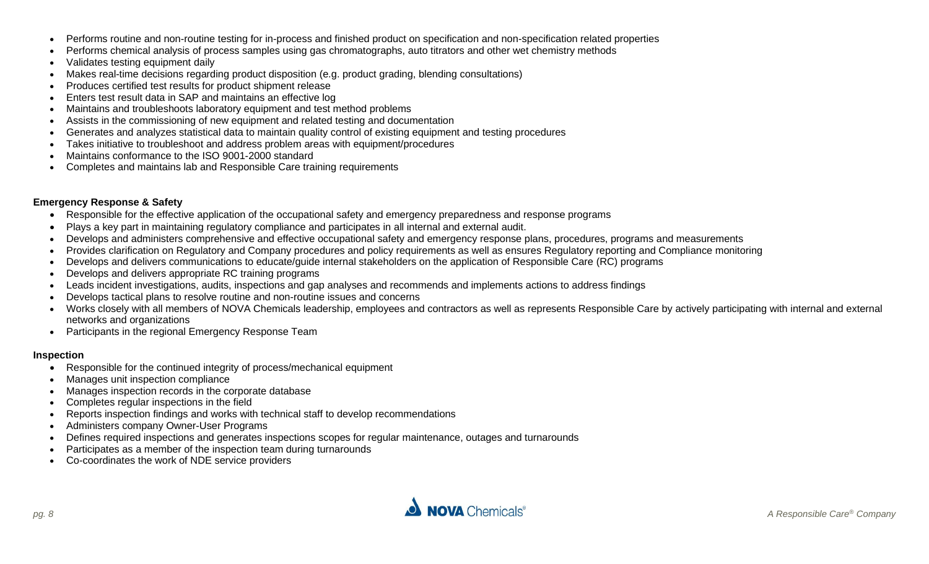- Performs routine and non-routine testing for in-process and finished product on specification and non-specification related properties
- Performs chemical analysis of process samples using gas chromatographs, auto titrators and other wet chemistry methods
- Validates testing equipment daily
- Makes real-time decisions regarding product disposition (e.g. product grading, blending consultations)
- Produces certified test results for product shipment release
- Enters test result data in SAP and maintains an effective log
- Maintains and troubleshoots laboratory equipment and test method problems
- Assists in the commissioning of new equipment and related testing and documentation
- Generates and analyzes statistical data to maintain quality control of existing equipment and testing procedures
- Takes initiative to troubleshoot and address problem areas with equipment/procedures
- Maintains conformance to the ISO 9001-2000 standard
- Completes and maintains lab and Responsible Care training requirements

#### <span id="page-7-0"></span>**Emergency Response & Safety**

- Responsible for the effective application of the occupational safety and emergency preparedness and response programs
- Plays a key part in maintaining regulatory compliance and participates in all internal and external audit.
- Develops and administers comprehensive and effective occupational safety and emergency response plans, procedures, programs and measurements
- Provides clarification on Regulatory and Company procedures and policy requirements as well as ensures Regulatory reporting and Compliance monitoring
- Develops and delivers communications to educate/guide internal stakeholders on the application of Responsible Care (RC) programs
- Develops and delivers appropriate RC training programs
- Leads incident investigations, audits, inspections and gap analyses and recommends and implements actions to address findings
- Develops tactical plans to resolve routine and non-routine issues and concerns
- Works closely with all members of NOVA Chemicals leadership, employees and contractors as well as represents Responsible Care by actively participating with internal and external networks and organizations
- Participants in the regional Emergency Response Team

#### <span id="page-7-1"></span>**Inspection**

- Responsible for the continued integrity of process/mechanical equipment
- Manages unit inspection compliance
- Manages inspection records in the corporate database
- Completes regular inspections in the field
- Reports inspection findings and works with technical staff to develop recommendations
- Administers company Owner-User Programs
- Defines required inspections and generates inspections scopes for regular maintenance, outages and turnarounds
- Participates as a member of the inspection team during turnarounds
- Co-coordinates the work of NDE service providers

<span id="page-7-2"></span>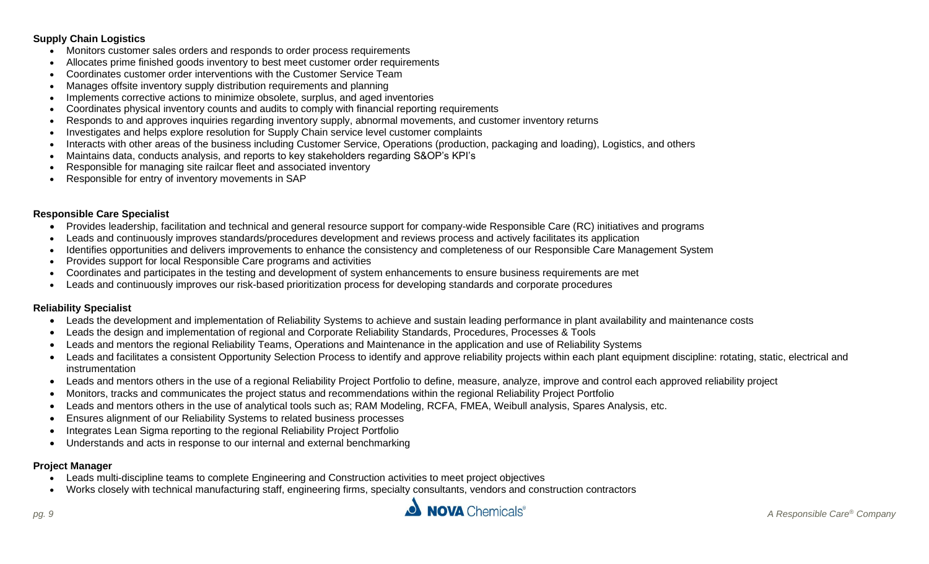#### **Supply Chain Logistics**

- Monitors customer sales orders and responds to order process requirements
- Allocates prime finished goods inventory to best meet customer order requirements
- Coordinates customer order interventions with the Customer Service Team
- Manages offsite inventory supply distribution requirements and planning
- Implements corrective actions to minimize obsolete, surplus, and aged inventories
- Coordinates physical inventory counts and audits to comply with financial reporting requirements
- Responds to and approves inquiries regarding inventory supply, abnormal movements, and customer inventory returns
- Investigates and helps explore resolution for Supply Chain service level customer complaints
- Interacts with other areas of the business including Customer Service, Operations (production, packaging and loading), Logistics, and others
- Maintains data, conducts analysis, and reports to key stakeholders regarding S&OP's KPI's
- Responsible for managing site railcar fleet and associated inventory
- Responsible for entry of inventory movements in SAP

#### <span id="page-8-0"></span>**Responsible Care Specialist**

- Provides leadership, facilitation and technical and general resource support for company-wide Responsible Care (RC) initiatives and programs
- Leads and continuously improves standards/procedures development and reviews process and actively facilitates its application
- Identifies opportunities and delivers improvements to enhance the consistency and completeness of our Responsible Care Management System
- Provides support for local Responsible Care programs and activities
- Coordinates and participates in the testing and development of system enhancements to ensure business requirements are met
- Leads and continuously improves our risk-based prioritization process for developing standards and corporate procedures

#### <span id="page-8-1"></span>**Reliability Specialist**

- Leads the development and implementation of Reliability Systems to achieve and sustain leading performance in plant availability and maintenance costs
- Leads the design and implementation of regional and Corporate Reliability Standards, Procedures, Processes & Tools
- Leads and mentors the regional Reliability Teams, Operations and Maintenance in the application and use of Reliability Systems
- Leads and facilitates a consistent Opportunity Selection Process to identify and approve reliability projects within each plant equipment discipline: rotating, static, electrical and instrumentation
- Leads and mentors others in the use of a regional Reliability Project Portfolio to define, measure, analyze, improve and control each approved reliability project
- Monitors, tracks and communicates the project status and recommendations within the regional Reliability Project Portfolio
- Leads and mentors others in the use of analytical tools such as; RAM Modeling, RCFA, FMEA, Weibull analysis, Spares Analysis, etc.
- Ensures alignment of our Reliability Systems to related business processes
- Integrates Lean Sigma reporting to the regional Reliability Project Portfolio
- Understands and acts in response to our internal and external benchmarking

#### <span id="page-8-2"></span>**Project Manager**

- Leads multi-discipline teams to complete Engineering and Construction activities to meet project objectives
- Works closely with technical manufacturing staff, engineering firms, specialty consultants, vendors and construction contractors

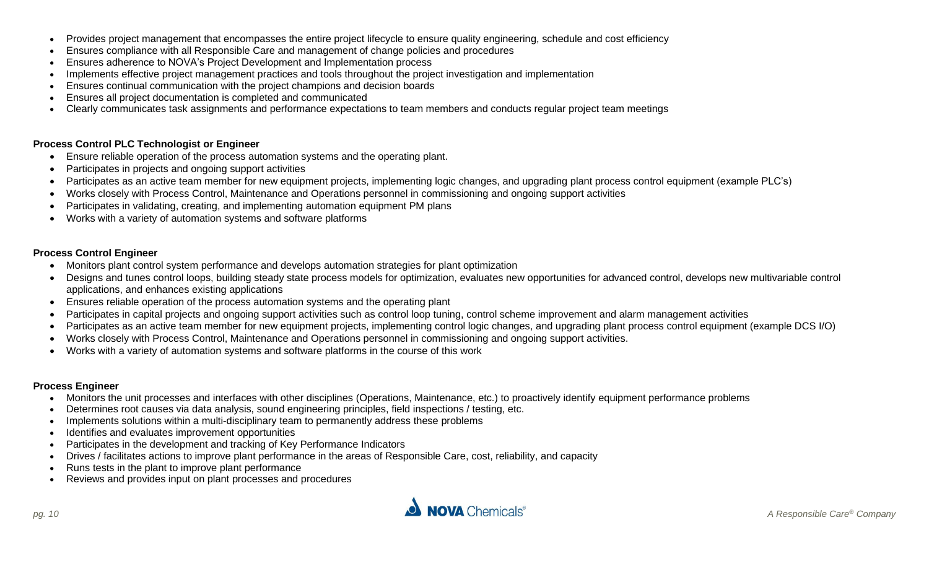- Provides project management that encompasses the entire project lifecycle to ensure quality engineering, schedule and cost efficiency
- Ensures compliance with all Responsible Care and management of change policies and procedures
- Ensures adherence to NOVA's Project Development and Implementation process
- Implements effective project management practices and tools throughout the project investigation and implementation
- Ensures continual communication with the project champions and decision boards
- Ensures all project documentation is completed and communicated
- Clearly communicates task assignments and performance expectations to team members and conducts regular project team meetings

#### <span id="page-9-0"></span>**Process Control PLC Technologist or Engineer**

- Ensure reliable operation of the process automation systems and the operating plant.
- Participates in projects and ongoing support activities
- Participates as an active team member for new equipment projects, implementing logic changes, and upgrading plant process control equipment (example PLC's)
- Works closely with Process Control, Maintenance and Operations personnel in commissioning and ongoing support activities
- Participates in validating, creating, and implementing automation equipment PM plans
- Works with a variety of automation systems and software platforms

#### <span id="page-9-1"></span>**Process Control Engineer**

- Monitors plant control system performance and develops automation strategies for plant optimization
- Designs and tunes control loops, building steady state process models for optimization, evaluates new opportunities for advanced control, develops new multivariable control applications, and enhances existing applications
- Ensures reliable operation of the process automation systems and the operating plant
- Participates in capital projects and ongoing support activities such as control loop tuning, control scheme improvement and alarm management activities
- Participates as an active team member for new equipment projects, implementing control logic changes, and upgrading plant process control equipment (example DCS I/O)
- Works closely with Process Control, Maintenance and Operations personnel in commissioning and ongoing support activities.
- Works with a variety of automation systems and software platforms in the course of this work

#### <span id="page-9-2"></span>**Process Engineer**

- Monitors the unit processes and interfaces with other disciplines (Operations, Maintenance, etc.) to proactively identify equipment performance problems
- Determines root causes via data analysis, sound engineering principles, field inspections / testing, etc.
- Implements solutions within a multi-disciplinary team to permanently address these problems
- Identifies and evaluates improvement opportunities
- Participates in the development and tracking of Key Performance Indicators
- Drives / facilitates actions to improve plant performance in the areas of Responsible Care, cost, reliability, and capacity
- Runs tests in the plant to improve plant performance
- Reviews and provides input on plant processes and procedures

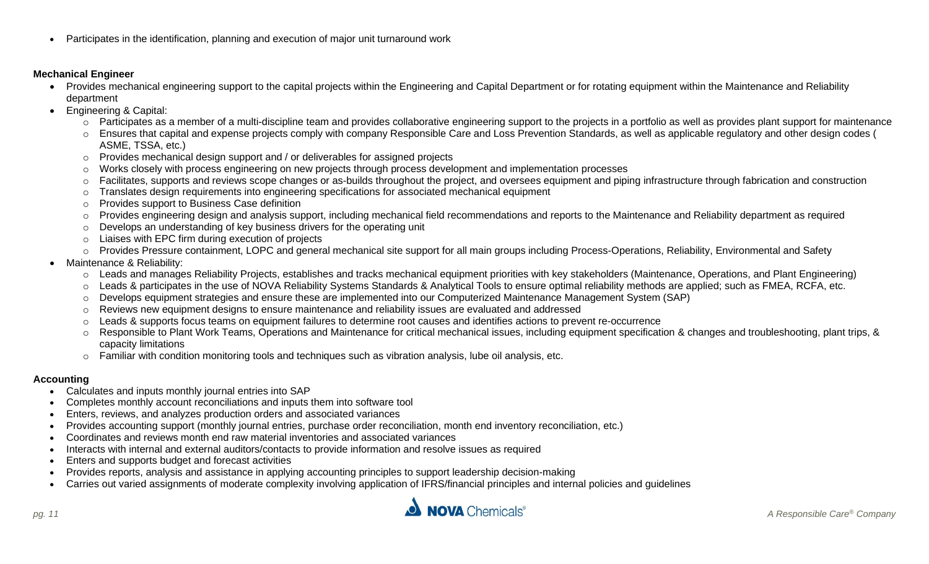• Participates in the identification, planning and execution of major unit turnaround work

#### <span id="page-10-0"></span>**Mechanical Engineer**

- Provides mechanical engineering support to the capital projects within the Engineering and Capital Department or for rotating equipment within the Maintenance and Reliability department
- Engineering & Capital:
	- $\circ$  Participates as a member of a multi-discipline team and provides collaborative engineering support to the projects in a portfolio as well as provides plant support for maintenance
	- o Ensures that capital and expense projects comply with company Responsible Care and Loss Prevention Standards, as well as applicable regulatory and other design codes ( ASME, TSSA, etc.)
	- $\circ$  Provides mechanical design support and / or deliverables for assigned projects
	- o Works closely with process engineering on new projects through process development and implementation processes
	- o Facilitates, supports and reviews scope changes or as-builds throughout the project, and oversees equipment and piping infrastructure through fabrication and construction
	- o Translates design requirements into engineering specifications for associated mechanical equipment
	- o Provides support to Business Case definition
	- o Provides engineering design and analysis support, including mechanical field recommendations and reports to the Maintenance and Reliability department as required
	- o Develops an understanding of key business drivers for the operating unit
	- o Liaises with EPC firm during execution of projects
	- o Provides Pressure containment, LOPC and general mechanical site support for all main groups including Process-Operations, Reliability, Environmental and Safety
- Maintenance & Reliability:
	- o Leads and manages Reliability Projects, establishes and tracks mechanical equipment priorities with key stakeholders (Maintenance, Operations, and Plant Engineering)
	- o Leads & participates in the use of NOVA Reliability Systems Standards & Analytical Tools to ensure optimal reliability methods are applied; such as FMEA, RCFA, etc.
	- o Develops equipment strategies and ensure these are implemented into our Computerized Maintenance Management System (SAP)
	- o Reviews new equipment designs to ensure maintenance and reliability issues are evaluated and addressed
	- o Leads & supports focus teams on equipment failures to determine root causes and identifies actions to prevent re-occurrence
	- o Responsible to Plant Work Teams, Operations and Maintenance for critical mechanical issues, including equipment specification & changes and troubleshooting, plant trips, & capacity limitations
	- o Familiar with condition monitoring tools and techniques such as vibration analysis, lube oil analysis, etc.

#### <span id="page-10-1"></span>**Accounting**

- Calculates and inputs monthly journal entries into SAP
- Completes monthly account reconciliations and inputs them into software tool
- Enters, reviews, and analyzes production orders and associated variances
- Provides accounting support (monthly journal entries, purchase order reconciliation, month end inventory reconciliation, etc.)
- Coordinates and reviews month end raw material inventories and associated variances
- Interacts with internal and external auditors/contacts to provide information and resolve issues as required
- Enters and supports budget and forecast activities
- Provides reports, analysis and assistance in applying accounting principles to support leadership decision-making
- Carries out varied assignments of moderate complexity involving application of IFRS/financial principles and internal policies and guidelines